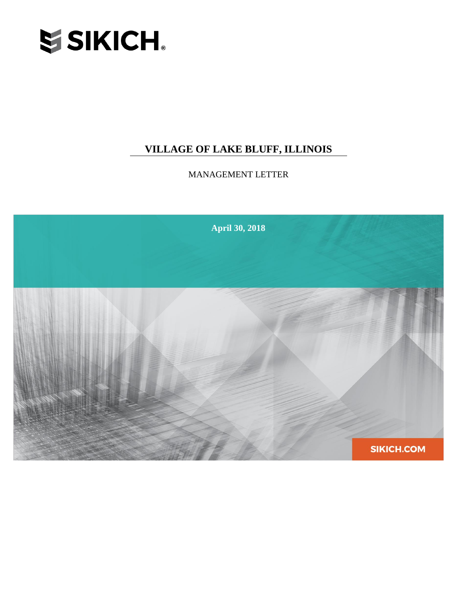

## **VILLAGE OF LAKE BLUFF, ILLINOIS**

MANAGEMENT LETTER